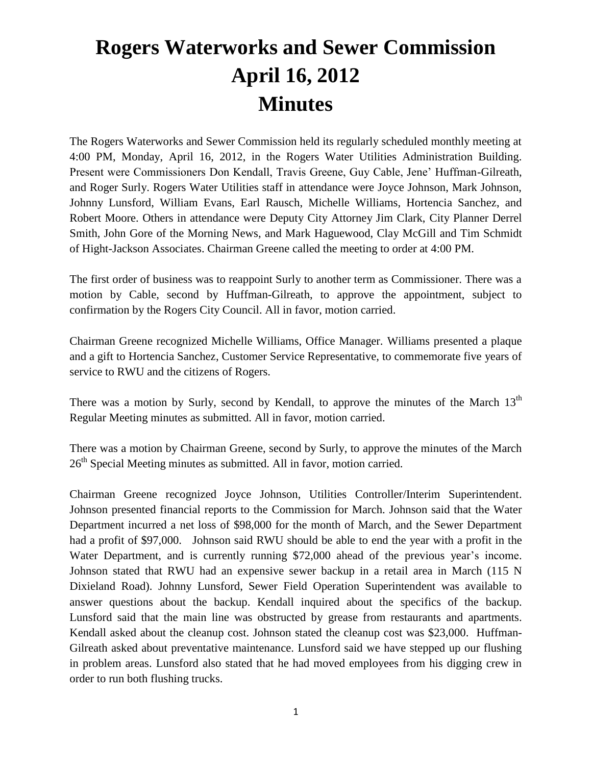## **Rogers Waterworks and Sewer Commission April 16, 2012 Minutes**

The Rogers Waterworks and Sewer Commission held its regularly scheduled monthly meeting at 4:00 PM, Monday, April 16, 2012, in the Rogers Water Utilities Administration Building. Present were Commissioners Don Kendall, Travis Greene, Guy Cable, Jene' Huffman-Gilreath, and Roger Surly. Rogers Water Utilities staff in attendance were Joyce Johnson, Mark Johnson, Johnny Lunsford, William Evans, Earl Rausch, Michelle Williams, Hortencia Sanchez, and Robert Moore. Others in attendance were Deputy City Attorney Jim Clark, City Planner Derrel Smith, John Gore of the Morning News, and Mark Haguewood, Clay McGill and Tim Schmidt of Hight-Jackson Associates. Chairman Greene called the meeting to order at 4:00 PM.

The first order of business was to reappoint Surly to another term as Commissioner. There was a motion by Cable, second by Huffman-Gilreath, to approve the appointment, subject to confirmation by the Rogers City Council. All in favor, motion carried.

Chairman Greene recognized Michelle Williams, Office Manager. Williams presented a plaque and a gift to Hortencia Sanchez, Customer Service Representative, to commemorate five years of service to RWU and the citizens of Rogers.

There was a motion by Surly, second by Kendall, to approve the minutes of the March 13<sup>th</sup> Regular Meeting minutes as submitted. All in favor, motion carried.

There was a motion by Chairman Greene, second by Surly, to approve the minutes of the March 26<sup>th</sup> Special Meeting minutes as submitted. All in favor, motion carried.

Chairman Greene recognized Joyce Johnson, Utilities Controller/Interim Superintendent. Johnson presented financial reports to the Commission for March. Johnson said that the Water Department incurred a net loss of \$98,000 for the month of March, and the Sewer Department had a profit of \$97,000. Johnson said RWU should be able to end the year with a profit in the Water Department, and is currently running \$72,000 ahead of the previous year's income. Johnson stated that RWU had an expensive sewer backup in a retail area in March (115 N Dixieland Road). Johnny Lunsford, Sewer Field Operation Superintendent was available to answer questions about the backup. Kendall inquired about the specifics of the backup. Lunsford said that the main line was obstructed by grease from restaurants and apartments. Kendall asked about the cleanup cost. Johnson stated the cleanup cost was \$23,000. Huffman-Gilreath asked about preventative maintenance. Lunsford said we have stepped up our flushing in problem areas. Lunsford also stated that he had moved employees from his digging crew in order to run both flushing trucks.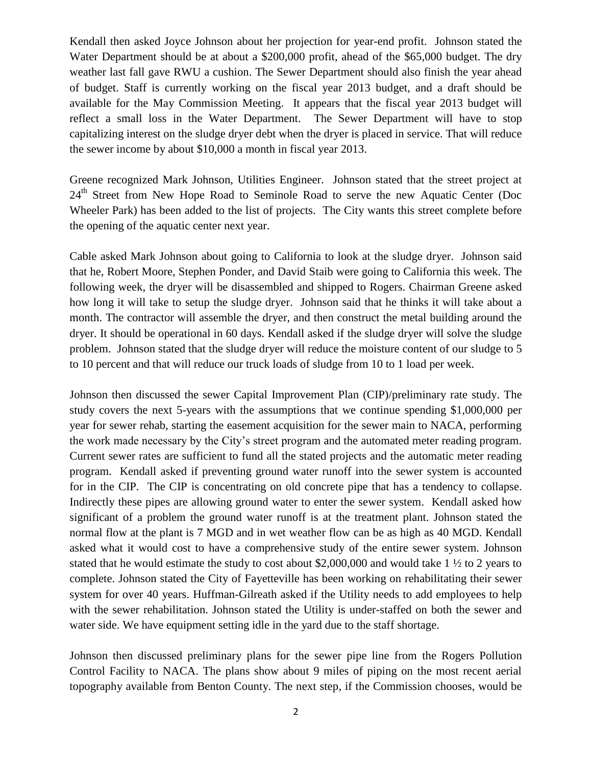Kendall then asked Joyce Johnson about her projection for year-end profit. Johnson stated the Water Department should be at about a \$200,000 profit, ahead of the \$65,000 budget. The dry weather last fall gave RWU a cushion. The Sewer Department should also finish the year ahead of budget. Staff is currently working on the fiscal year 2013 budget, and a draft should be available for the May Commission Meeting. It appears that the fiscal year 2013 budget will reflect a small loss in the Water Department. The Sewer Department will have to stop capitalizing interest on the sludge dryer debt when the dryer is placed in service. That will reduce the sewer income by about \$10,000 a month in fiscal year 2013.

Greene recognized Mark Johnson, Utilities Engineer. Johnson stated that the street project at 24<sup>th</sup> Street from New Hope Road to Seminole Road to serve the new Aquatic Center (Doc Wheeler Park) has been added to the list of projects. The City wants this street complete before the opening of the aquatic center next year.

Cable asked Mark Johnson about going to California to look at the sludge dryer. Johnson said that he, Robert Moore, Stephen Ponder, and David Staib were going to California this week. The following week, the dryer will be disassembled and shipped to Rogers. Chairman Greene asked how long it will take to setup the sludge dryer. Johnson said that he thinks it will take about a month. The contractor will assemble the dryer, and then construct the metal building around the dryer. It should be operational in 60 days. Kendall asked if the sludge dryer will solve the sludge problem. Johnson stated that the sludge dryer will reduce the moisture content of our sludge to 5 to 10 percent and that will reduce our truck loads of sludge from 10 to 1 load per week.

Johnson then discussed the sewer Capital Improvement Plan (CIP)/preliminary rate study. The study covers the next 5-years with the assumptions that we continue spending \$1,000,000 per year for sewer rehab, starting the easement acquisition for the sewer main to NACA, performing the work made necessary by the City's street program and the automated meter reading program. Current sewer rates are sufficient to fund all the stated projects and the automatic meter reading program. Kendall asked if preventing ground water runoff into the sewer system is accounted for in the CIP. The CIP is concentrating on old concrete pipe that has a tendency to collapse. Indirectly these pipes are allowing ground water to enter the sewer system. Kendall asked how significant of a problem the ground water runoff is at the treatment plant. Johnson stated the normal flow at the plant is 7 MGD and in wet weather flow can be as high as 40 MGD. Kendall asked what it would cost to have a comprehensive study of the entire sewer system. Johnson stated that he would estimate the study to cost about \$2,000,000 and would take 1 ½ to 2 years to complete. Johnson stated the City of Fayetteville has been working on rehabilitating their sewer system for over 40 years. Huffman-Gilreath asked if the Utility needs to add employees to help with the sewer rehabilitation. Johnson stated the Utility is under-staffed on both the sewer and water side. We have equipment setting idle in the yard due to the staff shortage.

Johnson then discussed preliminary plans for the sewer pipe line from the Rogers Pollution Control Facility to NACA. The plans show about 9 miles of piping on the most recent aerial topography available from Benton County. The next step, if the Commission chooses, would be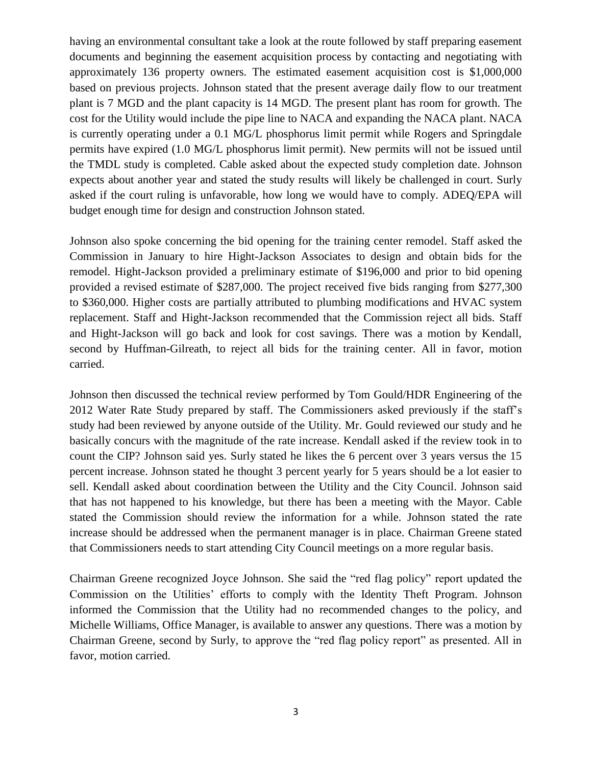having an environmental consultant take a look at the route followed by staff preparing easement documents and beginning the easement acquisition process by contacting and negotiating with approximately 136 property owners. The estimated easement acquisition cost is \$1,000,000 based on previous projects. Johnson stated that the present average daily flow to our treatment plant is 7 MGD and the plant capacity is 14 MGD. The present plant has room for growth. The cost for the Utility would include the pipe line to NACA and expanding the NACA plant. NACA is currently operating under a 0.1 MG/L phosphorus limit permit while Rogers and Springdale permits have expired (1.0 MG/L phosphorus limit permit). New permits will not be issued until the TMDL study is completed. Cable asked about the expected study completion date. Johnson expects about another year and stated the study results will likely be challenged in court. Surly asked if the court ruling is unfavorable, how long we would have to comply. ADEQ/EPA will budget enough time for design and construction Johnson stated.

Johnson also spoke concerning the bid opening for the training center remodel. Staff asked the Commission in January to hire Hight-Jackson Associates to design and obtain bids for the remodel. Hight-Jackson provided a preliminary estimate of \$196,000 and prior to bid opening provided a revised estimate of \$287,000. The project received five bids ranging from \$277,300 to \$360,000. Higher costs are partially attributed to plumbing modifications and HVAC system replacement. Staff and Hight-Jackson recommended that the Commission reject all bids. Staff and Hight-Jackson will go back and look for cost savings. There was a motion by Kendall, second by Huffman-Gilreath, to reject all bids for the training center. All in favor, motion carried.

Johnson then discussed the technical review performed by Tom Gould/HDR Engineering of the 2012 Water Rate Study prepared by staff. The Commissioners asked previously if the staff's study had been reviewed by anyone outside of the Utility. Mr. Gould reviewed our study and he basically concurs with the magnitude of the rate increase. Kendall asked if the review took in to count the CIP? Johnson said yes. Surly stated he likes the 6 percent over 3 years versus the 15 percent increase. Johnson stated he thought 3 percent yearly for 5 years should be a lot easier to sell. Kendall asked about coordination between the Utility and the City Council. Johnson said that has not happened to his knowledge, but there has been a meeting with the Mayor. Cable stated the Commission should review the information for a while. Johnson stated the rate increase should be addressed when the permanent manager is in place. Chairman Greene stated that Commissioners needs to start attending City Council meetings on a more regular basis.

Chairman Greene recognized Joyce Johnson. She said the "red flag policy" report updated the Commission on the Utilities' efforts to comply with the Identity Theft Program. Johnson informed the Commission that the Utility had no recommended changes to the policy, and Michelle Williams, Office Manager, is available to answer any questions. There was a motion by Chairman Greene, second by Surly, to approve the "red flag policy report" as presented. All in favor, motion carried.